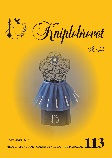



MEDLEMSBLAD FOR FORENINGEN KNIPLING I DANMARK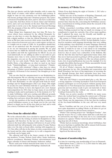# **Dear members**

The days get shorter and the light dwindles, with it comes the dark hours of winter, with indoor activities and coziness. It might be time for nice moments over the bobbinlace-pillow, who knows, perhaps with some Christmas-projects. The nature is dressed in beautiful fall colors, and we also have to find time to enjoy this. And then, before we know, winter and Christmas arrive, and a new year knocks on the door. Time flies, and it is again time to invite you to the Annual and General Meetings 2014, the program of that day will be brought in the magazine coming out in February.

Many things have happened since last time. We have, between others, been contacted by the official Denmark, because, we also have to enter the digital age. We have to establish a digital mailbox, so that the official Denmark is able to write us. We have also received a little notice from SKAT. They have ordered us from now on to use a cash-register on fairs etc, or it might cost us a sum of 5 000,- kr. in penalties, should they come on an uninvited visit. We invested in the cash-register, as we are not interested in paying the penalty. We are glad to know that we fulfill the demands from the state, both with the mailbox and with the registrations for SKAT. As you can read underneath, we are adding an editor to our staff, iot. give Susanne more time to write articles for Kniplebrevet. Inside the magazine, you can see the sad information about Vibeke Ervø's far too early death. Vibeke had, together with Anne Stubbe Horn, a big influence on what we used in our latest book, "Tønderkniplinger - et tema med variationer" (Tønderlace - a theme with variations") Many a time have we taken advantage of Vibeke's great knowledge about bobbinlace and it's history. All honour to her memory. Our thoughts go to her family.

You can also find the announcement to our Knipleshop inside this magazine. We are offering you many new and exciting things. You can purchase it by contacting Bente, or by buying at the fairs. Remember, we also sell gift-cards both for memberships and for Knipleshoppen (The Lace shop). This might be an idea for your Christmas-wish list or a good gift to a bobbinlace-friend. Finely, we have also figured out a new Annual task/competition for 2014, that we hope many of you will find exciting to make and to participate in. At the moment, it is "In" to make bobbinlace with new, exciting and different grounds. Our pattern-coordinator, Sonja, has composed something very exciting, but read more about this inside the magazine.

At last, the members of the board would like to wish you all a good bobbinlace-season, to say thank you for the year that passed, to thank you for all the nice chats we had, and to wish you a merry Christmas and a happy New Year.

# **News from the editorial office**

We in the editorial office, have decided to expand our staff, iot. get more time for the writing of articles for Kniplebrevet. This magazine will therefore be the last one where Susanne Andersen is the head editor. Susanne will however, be part of the editorial staff, but will primarily write articles.Yvonne Nielsen takes over the duty as head editor, starting with magazine nr. 114. Our office will also in the future, in close cooperation with the board and the other members, try to edit a magazine that everybody can be happy with.

The editorial staff will in the future consist of the following members: Yvonne Nielsen, head editor, Sonja Andersen, pattern coordinator, Marianne Nielsen, advertisements, local pages, calendar of classes and Susanne Andersen, author.

Please, send your written material from today on, to Yvonne on this mail-address: redaktoer@knipling-i-danmark.dk

# **In memory of Vibeke Ervø**

Vibeke Ervø died during the night of October 1. 2013 after a short period of illness.

Vibeke was one of the founders of Knipling i Danmark, and they published the first Kniplebrevet in June, 1985.

Vibeke was one of the editors of the first 5 numbers of the journal. Since then has she, concerning the bobbinlace-association, concentrated on writing articles about the research of the history of bobbinlace.

Vibeke researched everything within textiles and textilehistory. Nothing seemed too big, too small, too strange or too complicated to spark her curiosity. One of her many qualities, that I admired the most, was her friendly and humble approach to research made by others.

My contact to Vibeke started as I, many years ago, lived in the USA and was a member of IOLI. In their Bulletin, I advertised for members with language-knowledge that were willing to help making a lace-dictionary in many languages. Between others, I got a feed-back from a very arrogant lady that told me that it would be in vain, as I was about to do something already done before. I got a very friendly letter from Vibeke however, that of course was a subscriber of the Bulletin. She told me that this idea had been approached many times, that they never had succeeded in getting it off the ground, and that she was willing to give it another try. She was always positive. Later, lots of good publications has seen the daylight. It is for example this ability, that has given Vibeke uncountable friends and contacts all over the world.

Of all of Vibeke's interests, the freehand-bobbinlace was most important for her. Her friendship and cooperation with Bodil Tornehave has been of big importance in screening the way through Europe that these particular laces have wandered. From where did they arise and through which channels did they spread?

Also here did Vibeke's research-mind play a role. She was a strong supporter of letting lacemakers from East-European counties participate in several projects without paying membership-fees to Vest-European lace-associations. She was very generous and was always ready to give out materials or share her long-time experience without any concern about who would get honored for the work.

Vibeke was an active member of OIDFA for many years, where she worked hard on getting the eastern part of Europe incorporated into the Vest-European bobbinlace-collaborations. Vibeke saw the importance of the fact that the tradition of the free-hand-bobbinlace in the east, still was very much alive.

Karen Vontillius and the rest of us in the editorial office, were quite dependent on calling Vibeke at all times iot. get an answer to questions we did not know ourselves.

Vibeke's last exciting project was "Intelligent Textiles" , that help the wearer. For ex. a radio-alarm, built into a cuff, that can be activated by one finger or the nose, for ex. in a catastrophic situation on a glacier. Vibeke's interests just had no limits - she dug deep into all of them.

Vibeke had an enormous knowledge about bobbinlace, that she never had time to publish. She will be missed, both because of her knowledge and for her big heart.

All honour to her memory.

IngeGerd Stevnhoved, Sejs

# **Payment of membership fees**

It is time for renewing your membership of Lace in Denmark Subscription from 1.1.2014 to 31.12.2014 must be fully paid no later than the 10.12.2013

Single members: kr. 300,-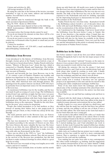Unions and activities: kr. 400,-

All foreign members: EUR 53,-

By using the code line at the bottom of the invoice, you must remember to type in your name, address and membership number. You will find it at the invoice.

Bank deposit:

The amount must be transferred through the bank to the union account in Sparekassen Hobro

Reg. Nr. 9338 – Konto nr. 0002132044

Foreign members must deposit in Euro at the following:

IBAN kontonummer: DK0293380002132044 – BIC-kode: SHOBDK21

You must notice that foreign checks cannot be used

If you do not deposit the amount on time there will be a fee of kr. 50,- at later collection

If you do not want to receive lace magazine anymore kindly contact lace in Denmark either by phone or email and you will be deleted.

Contact for members:

Bente Barrett, phone: +45 2156 6851, e-mail: medlemskontakten@knipling-i-danmark.dk.

**Bobbinlace from Beveren**

I was introduced to the history of bobbinlace from Beveren through a lecture given at the Tønder Lace-festival, a type of lace I had never heard about before. Nadine Pawels told in her lecture, "History of Beveren Lace" about this lace, which is connected to Chantilly, Blonde and Tønderlace. The bobbinlace from Beveren is also closely related to Lille, which at that time was part of Flanders.

Beveren and herewith the lace from Beveren, was in the 15.-16. century a part of Flanders. Flanders was wealthy, and fashion was important for the upper classes in the 16. century. We know the importance of bobbinlace in Flanders through letters, bills, other historical facts and through pictures. The paintings from the painter Antoon van Dyck (1599-1641) have in particular been an important source for the documentation of Beveren lace.

As mentioned, bobbinlace was for the wealthy, and the lace was made by girls as young as 6 years of age. The bobbinlacers worked from 6 am. until late at night, but they were very poor in spite of workingdays of 12-14 hours. They would sit and work all day, getting problems with their backs, lungs and the abdominal area. The price for a house was the same as for a bobbinlace dress, so the expression "Wealth for the rich, blessing for the poor" gives reason for skepticism.

People also found lacemakers to be bad mothers, as they, instead of nursing their babies, had to mix poppy-seeds in porridge and give them, so they would stay asleep all the day through........

The main patterns used in the Beveren Lace, are flowers. There are seldom birds or other animals in this type of bobbinlace.

The lace was measured in "Alen" (approx. 2 feet) valued and named according to the amount of flowers on one Alen. The fewer flowers, the more valuable the lace was. The fewer flowers on an Alen, the more difficult the lace was to make. The most expensive and most difficult lace to make, were the ones with only one flowermotif on the Alen.

There was an effort in the 1920's to "save" the bobbinlace tradition by making bobbinlace-schools. They did not succeed in the survival of the Beveren lace production, but this had led them to make technical drawings in colors, which is a great help for us today.

The Beveren Lace was made in long even lengths, never with corners, and never rounded.

The prickings were normally done on leather and the motifs

drawn up with black ink. All motifs were made in linenstich. The Beveren Lace was in general fast to make and for that reason cheaper than other bobbinlaces.The lace was also not very durable. The bulk of the Beveren lace was in the later years exported to the Nederlands and used for clothing, especially for the impressing head-gear so characteristic for some of the folk-costumes in the Nederlands.

Nadine Pawels has her own firm today - Kantschool Artofil ( the Bobbinlace-school Artofil (= art of thread)) where she works with and teach Bobbinlace. Some of her students work on the reconstruction of the old lace from Beveren.

As I mentioned in the beginning, I had never heard about the bobbinlace from Beveren before I came to Tønder this year. It was therefore a big surprise when I found that one could buy a book about Beveren lace at the Tønder Museum. This book will also for the future be available in the library of Foreningen Knipling i Danmark. I have not read the book yet, and the information in this article is solemnly based on my interpretation of Nadine Pawel's lecture.

## **Bobbin lace in the future**

Just before summer I and all my first year fellow students at Kolding Designskole had to start the last major project of the semester.

The project was named "optional" because, as the name indicates, it was a project where you had total freedom to choose what you wanted to work with for four weeks.

All during the semester, this was the project I had most looked forward to, and I had several considerations back and forth about what would be exciting to work with. I finally chose bobbin lace. Primarily because I was rather curious to learn the technique and find out, what it was all about.

For a long time I had known about this technique and wondered exactly how it worked. I therefore saw our optional project as an opportunity to dive into and devote myself to this exciting and a little complicated technique: bobbin lace.

None of my class mates knew the technique, and when I asked some of the workshop assistants if the school had a bobbin lace pillow that I could borrow; the answer was that none was available.

Then I had to go out and find lace making tools and how-to books.

I started with the thrift shops in Kolding and spoke to the elderly ladies and asked if they had a lace pillow in the shop. It resulted in many pleasant conversations but no lace pillow.

Finally, I spoke to a very sweet old lady in a thrift store and she told me that she made lace and she had three lace pillows at home, and she was willing to sell me one of them. It was a fine old roller pillow. The farm hand on her farm had made it for her back when she was a young girl.

I also needed a flat pillow without the roller, so I made that of Styrofoam which was aplenty at the school. How-to books on lace making I found at the library, and they turned out to be so good that I could easily learn to make lace by reading them. So I started making lace, and I had scheduled one week to learn it. In that week I learned the typical bobbin lace stitches and practiced a lot of different grounds, from torchon ground to virgin ground stitch.

Quite early on I realized that my project was to make a suggestion on how lace could be used in a more contemporary context. That is, somehow to update the technique but with respect for the craft and the traditions.

Lace making has not quite been able to stay contemporary like other textile techniques, e.g. knitting. And the suggestions on a modern interpretation of lace are rather limited. I think that is a pity, because the full potential of lace stays undeveloped.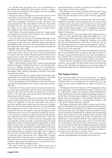So I decided that my project was to be an experiment in introducing lace making into this century and give a suggestion on how I would use the old technique to create something representative of our times.

During my project I thought a lot about the survival of the craft, and it is a pity that so few young people make lace.

I believe there are several reasons for this. One is that it is rather time consuming to learn and to make, and quite a few young people do not have the calmness or the time to sit down and make lace. It is also rather awkward to bring along your lace pillow on the train or the bus, which are places where there might be some time for handcraft.

But I believe the most important reason for young people not making lace is that they can't really see lace in the context of our times and how they can use it.

I saw my project as a means of providing inspiration to the solution of this problem, which actually can be relevant for both young people who have difficulty seeing contemporary possibilities in lace, but also for more experienced lace makers who might find it interesting to see their well-known handcraft technique from a new angle.

But let's return to my work process. I had scheduled my four weeks: First week I used to get hold of all my material and to consider how the project should proceed. Second week I learned how to make lace. Third week I made samples from different materials. And fourth week I chose the material that worked best for the making of a jacket.

When I had learned to make lace, I started experimenting with the techniques. I deliberately chose to use materials atypical to lace making, materials that were very contemporary. Preferably materials that did not exist 200 years ago, i.e. neon and plastic. Some exciting experiments emerged, some more successful than others.

I was quite taken with the ground called honeycomb stitch, twisted hole. So I worked it in different materials, i.e. flat white elastic, blue round tubal band, and white flat tubal band.

It was interesting to see the different results from the three experiments which differed very much in expression and possible uses.

I also tried 3-D laces where I fastened some neon pink line to a white patterned oilcloth and from there worked upwards. I made a tube, and when the tube was about 5 cm, I started to flatten it out and make honeycomb stitch with twisted hole outwards as a kind of netting.

From all the samples, I found the one made with blue tubal band in honeycomb stitch the most interesting. The resulting textile was shapeable, so that you could pull it and create a new form, and the textile would stay in the new form. I thought that was a terrific characteristic and I saw a lot of possibilities. From making your dress a little wider if you lent it to your friend, who was one size bigger, to actually changing the look of the dress from wear to wear and thus retaining the novelty.

So I decided to continue working with honeycomb stitch in blue tubal band. At first I thought I would make a collar. The shape of the collar was to derive from my experiment with neon pink line, which was made in tubal form from the white oilskin. But I didn't feel that the possible shapeability was fully utilized in this collar. I realized that I needed the textile on my body to feel that the shapeability was fully utilized. I therefore settled on a short sleeved jacket med a zipper in front. I had some deliberations on whether it was right to put a zipper in the front, but I decided that the front zipper was a good way to draw the jacket towards the more "clothes-like", because without the zipper it became more of a sculpture than a jacket. The textile was so strange, because actually it consisted of a lot of plastic tubes made into bobbin lace, so I knew that I had to make sure that it had a clothing context.

The jacket itself was made of five different parts that I sewed together: two sleeves, one back and two front pieces. I made them based on a pattern, exactly as you would have cut out the pieces from a piece of fabric.

But I did not need to make any kinds of darts because I used the shapeability of the textile to press the "fabric" together where the darts should have been, and it worked equally well, if not better.

I found a net shop where I could buy the blue tubal band. I bought a lot and then I started making lace. It took me about 3-4 days to make the jacket, and I worked from I woke up till I went to bed, only with breaks to eat. The jacket was ready a couple of days before taking it to the examination. Examination went very well; I got the grade 12, which was a nice conclusion to the project.

But now I am left with some things more important than a grade 12. I have acquired knowledge and insight into a very old technique, both technically and historically. I don't imagine lace making would be completely forgotten as so much material and documentation exists. But I could fear that all the knowledge about lace making could disappear from people's lives and into the museums, if the young (my) generation doesn't take to the handcraft.

Even though my project may not be monumental, I still hope that it can contribute with a nudge in the right direction, so that the young generation discovers the many possibilities of lace; I believe that is necessary if lace making is to be practiced in the Danish homes or used in fashion design in the future.

I think old and contemporary laces must exist side by side. I believe some people will find old lace most interesting and some people will find contemporary lace most interesting, but most people might, like me, find both types very interesting.

# **The Dagmar School**

From our hearts, thank you for all the good lace - & embroidery - things that you have collected for The Dagmar School in Moscow. We are very happy for the support you give our school and the work it is doing. We are always in need of materials.

The Dagmar School was funded in 1997 through the work of the congregation of St. Feodor Studit Church in Moscow, and is a school where adults are trained in sewing. Primarily, they make chasubles, but also other things used during church service. We have delivered mass clothing to Orthodox churches in Russia, USA and Denmark, to Den Danske Folkekirke (The Danish Lutheran Church) to a Presbyterian Church in the USA and to Catholic churches in Russia.

The Dagmar School moved in 2001 to a place near Den Livgivende Treenighet (The Life-giving Trinity) in Sviblovo. Den Kristne Friskole (The Christian Free School) was established near by the same year. The Dagmar School was asked to manage the education of handwork for students, first through forth grades. Two teachers from The Dagmar School educate both boys and girls, first through four grades, in embroidery and bobbin lace at Den Kristne Friskole. The students can freely choose the patterns and color(s) they wish to work with.There are no set tasks, as the purpose, first and foremost, is to learn to control needle and thread or bobbins and pins. The students have to learn to "read" a pattern, turn it around in their minds for then to move it back out through their fingers, whether in the shape of an embroidery or a piece of lace.

At the end of each school year, there is an exhibition of the students accomplishments through the last school year.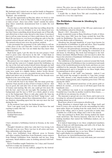# **Members**

My husband and I visited our son and his family in Singapore in December 2012. Afterwards we had a week of vacation in Thailand - also wonderful.

We got the opportunity in Hua hin, where we lived, to visit a famous tailor iot. look at Thai-fabric. But to our great luck or mine at least - there was a little "stand" outside the tailors shop where somebody demonstrated how to make the real Thai-silk!

I had to have a chat with the man that was telling about the procedure. He was very friendly to me as he discovered very fast that I knew something about thread made out of Thai-silk, and offered me to have some thread to take home. I convinced him to sell me some instead, as I then could choose the color I liked. He was however, very keen on telling me only to buy the natural colored thread, and not the "synthetics", as he put it. The natural colored ones were the prettiest, anyhow.

I also persuaded the personnel of the tailor-shop to sell me a little piece of the real Thai-silk. I tried to explain for them what I wanted it for, but I do not think that they knew what bobbinlace was!

Back home again, I got the idea for my new project. I had tried to press some vine-leaves in the fall - I find them so beautiful. I convinced myself, that this was, what I would use the Thai-silk for.

My pattern was very simple. It was just the pencil-outline of the leaf and the veins in it. I simply started the bobbinlace on the top of the leaf and worked myself down through one half of it without pricking in any form. I only pinned where I found it needed! I only used silk-threads, but the leaf's edge and the veins were made in a slightly thicker, darker brown thread. The Thai-silk has a very nice, greenish-brown color. Pairs were added and taken out as needed.The most of the threads were finished at the root of the stem.

The leaf was then starched thoroughly.

I went with the leaf to my framer. She has many good suggestions. I had, myself, an idea of how to frame it, but no - that was no good, she said after lots of tries with different colors of frames and matting. She felt, one could get lots more life into the leaf , and I feel, she was right. The matting is off the background, and the lace is NOT as a whole, glued or sewn on to the background. There is only glue under the base-tip of the stem. This means that the leaf itself "hangs loose", and this gives a fantastic, almost three-dimensional effect - one can see shadows, depending upon how the sun-rays meet the leaf during the day.

At the moment I just enjoy the finished product.

Now I am again ready for new ideas. It has been fun and exciting to make this leaf.

Sincerely Kirsten Brodersen Todsbøl Nørremark 1 6360 Tinglev

I have attended a bobbinlace-festival in Estonia, in the town Pärnu.

Thought I should see white lace only, but I was wrong. Lots of beauty met my eyes. There was lace in all colors and sizes: Hats, tablecloths and a big shawl.

There were bobbinlace from different areas in Estonia and other counties.Tønderlace from Denmark, coarse runners from Finland, bobbinlace from Australia and my lace. Song and music. Small children came in clothing adorned with bobbinlace.

Karen Vontillius taught Tønderlace for 2 days, and I learned well how to make my stemmed roses.

I won second price for my sailboat, judged by the festival-

visitors. The price was an ethnic book about jewellery, shawls etc. written by Lia Loogan. The text is in Estonian, English and German.

I would like to thank Eeva Talt and everybody, that attended, for a very nice experience.

# **The Bobbinlace Museum in Abenberg by Kirsten Skov**

An exhibition on the occasion of the 100 year anniversary of the bobbinlace-school in Abenberg.

March 1. 2013 - December 31. 2013.

Some wonderful rooms in Burg Abenberg (Castle of Abenberg) have since 2001 been the frame around the local Museum for Bobbinlace. The town of Abenberg is situated near the town Roth south of Nürnberg.

Abenberg has through hundreds of years been known for its production of bobbinlace in gold and silver. Their beautiful handmade metal-lace was sold all over the world.

A 150 year old patternbook containing 250 different pieces of metal-lace was found in 2011 during the restoration of an old house in Abenberg. The book had belonged to the bobbinlace-merchant, Michael Heimer, and was used to show the buyers his selection of handmade bobbinlace of metal, so they could place their orders.

The exhibition in the museum is centered around this book. An interestgroup of bobbinlacers has reconstructed and made many of the wonderful patterns in the book, and these are now exhibited in the museum. Through the years, most metal-lace get disintegrated, and it is fantastic to see these bright, shiny reconstructions in silver and gold.

The exhibition of old "stuff" was fantastic - indeed, I can not find words big enough to describe it. Caps, hats, corsage from 1891, dresses, a fan, church-textiles, both from Catholic and Jewish congregations, and a baptism-gown from 1780 was among the oldest.

There are also industrial metal-lace of the purest gold exhibited, be careful......it is not easy to tell them apart from the handmade ones.

The exhibition was made in an exceptionally tasteful and beautiful way. I was like in another world for three hours......... an all this for an entrance-fee of only  $2 \in$ .

The museum is spread out over two floors, and is just as interesting for advanced lacemakers as for people not knowing anything about lace at all.

Read more about it: www.museen-abenberg.de

Burg Abenberg is situated high over the village itself, and from it's tower, one can look out on the surroundings for miles upon miles. Steps are leading from the castle down to the old part of the village, and it is surely a good idea to make time available for a walk in the village and a visit to the church.

Our trip continued to Roth after having studied the handmade metal-lace. The Factory-museum, with lots of the lacemaking machines that ousted the bobbinlace-makers, are on exhibit here.

It is indeed impressing to see these complicated machines. Many of them are still functioning, and with a bit of luck, the attendant will start one for you.

This museum should be visited because of the machines. There are no handmade lace to see here. When I visited, they had a quilt-display in a neighboring room.

Read more on: www.fabriksmuseum-roth.de

The old town of Roth is very cozy with many just renovated houses.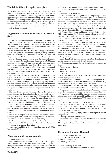## **The Fair in Viborg has again taken place.**

Sonja, Astrid and Bente have enjoyed 3 wonderful days there, with lots of visitors and nice chatting both with new and old members. To see you all again is a big pleasure for us, and we appreciate you taking the time to stop by iot. get a little talk about what you do in your local groups, and what you have set up on your pillows at home. We have gotten lots of inspiration for future subjects in Knipleshoppen. Therefore, come and visit us in Slagelse or Fredericia iot. see the last news.

Astrid, Sonja and Bente

## **Suggestion: Take bobbinlace-classes, by Kirsten Skov**

The German bobbinlace-guild arranges many different classes for different levels. Everybody is welcome to participate, and you need not be a member of the guild, but for some classes they demand certain qualifications. They offer both week-long classes and also shorter workshops.

Read more bout it on: www.deutscher-kloeppelverband.de

After dragging my feet for many years, I finely signed up for a class in August 2013. The teacher was Jose van Pamelen-Hagenaars from Holland, a very competent lacemaker and designer with many years of experience. She has written many books, for ex. on Russian Tapelace, Duchesse, new bobbinlacegrounds "in movement", and she has also designed many lacepatterns, something for everybody. The theme was free in this class, and I chose some smaller pieces with many details and spiders. Many of the participants made a very nice silkscarf made up of many different grounds.You could also learn drawing-techniques.

The class was intensive with classes from Monday till Friday from 8:30 am. until 6 pm. We were 10 students and it was exciting to meet other bobbinlace-makers and find out what "stirs" in our neighboring country. It was a big inspiration to see, how Jose van Pamelen-Hagenaars constructs bobbinlacepatterns through rethinking the connection between figures and grounds, and herewith creates new patterns and effects in the lace.

The class took place in Schönsee, which is located in the mountains near the Tzeck border. The town is small, but cozy. Visit the church,the churchyard, the bobbinlace-store Köck and the old barn by the road behind the tourist information.

Not far from this town, there is another little town, Tiefenbach, where there is a bobbinlace-museum. The museum is located in the closed bobbinlace-school, and the exhibition tells the history of the lace school and the surrounding area (incl. Schönsee and Stadlern) in the last 100 years. There are beautiful old bobbinlace, reconstructions and modern lace on display.

The museum is open until late on week-days, but if you find it closed, you can contact the office-personnel in the same building, and they will open it for you right away.

Look for more info. here: www.tiefenbach-opf.de

The churches of Schönsee and Tiefenbach have handmade bobbinlace coverings on their altars.

......................and I have already signed up for a new bobbinlace-class in 2014.

## **Play around with modern grounds**

The Annual Competition, 2014

The idea behind the Annual Competition 2014, is to explore what happens with a piece of bobbinlace, when the pricking changes, when different threads or work-sheets are used. Besides this, we would like to present for you, some new grounds and give you the opportunity to play with the effect of different thicknesses of threads/materials, and what this does for the lace.

The terms for participating:

1) All members of Knipling i Danmark can participate. Your work has to consist of the 6 ribbons we give out in connection with the annual theme. You can download them from our association's homepage from January 1. 2014. You can also have them sent by mail by contacting the pattern coordinator for Knipling i Danmark and paying kr.15,- pr. letter for postage and handling. Members of the board and the jury may take part but are disqualified for the competition.

2) Each participant can send in one picture only for judging. This has to contain the 6 ribbons composed and arranged to their own liking and mounted in a suspending frame.

3) Dimensions: The picture have no set dimensions, it just has to be mounted on the suspending frame.

4) Materials: The prickings and work-sheets made for the Annual Theme MUST be used. We lay them out on Knipling i Danmark's homepage on: January 1. - March 1. - May 1. - July 1. - September 1. - and November 1. - 2014.

All the prickings for the 6 ribbons are based on 60/2 thread and you MUST use 1-2 pairs or 2-4 bobbins in a thread/material in a different thickness of your own choice. It can be everything including

metal-thread, fish line, knitting-yarn etc. You do not need to use the same materials in all of the 6 ribbons.

5) The necessary papers for participation can be purchased from:

The pattern coordinator

Sonja Andersen

Strøget 69, 1. Dør 4

7430 Ikast

or, you can download them from the association's homepage: www.Knipling-i-Danmark.dk

6) The deadline is: January 15, 2015 (the mailing date) You must include proof of participation (remember title and use) and the finished piece or a photo of the art-piece.

7) Participants have to loan out their original work to Knipling i Danmark until after the Annual Meeting, 2015.

8) By sending your work in to Knipling i Danmark, you also allow the association to bring a picture of it in Kniplebrevet.

9) The picture-material will be filed and be in the possession of the association until a possible publication. If you send in a photo, it has to be minimum 300dpi, and has to be sent as a jpg file.

10) Sender is responsible for cost of postage

The pictures will be given back to you after the Annual meeting 2015. You can pick it up yourself or Knipling i Danmark will return it to you. Knipling i Danmark will pay for the cost of the return of your art.

11) 3 pieces, chosen by a jury between all the pieces sent in, will get a price.

The jury's decision is undisputed.

Besides this, there will be a price for the visitors favorite. This will be decided by votes of the visitors on the Annual Meeting 2015. Disqualified members are able to participate in this event.

## **Foreningen Knipling i Danmark**

invites to the general meeting on Saturday, the 29. of Marts - 2014, in Borgerforeningens Hus, Nørrevoldgade, Nyborg

Agenda according to the rules:

1. Election of chairman and counter of votes.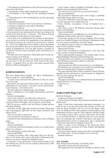2. Presentation and discussion of the oral and written annual report from the board.

3. Presentation of the audited accounts for approval.

4. Presentation of the budget for the upcoming financial year.

5. Determination of the membership-fee for the upcoming financial year.

6. Incoming proposals.

7. Election of members of the board and their substitutes.

8. Election of auditor(s) and auditor substitutes

9. Additional subjects

Subjects, wished to be taken up on the general meeting, has to be presented to the chairman of the board ,in writing or by e-mail, at the latest by the 1. of January - 2014. Please, look up the colophon for mail-address or post address.

If you wish to be nominated for the election of boardmembers, you have to send in your application to the chairman of the board, in writing or by e-mail, at the latest by the 1. of January - 2014. Your application has to include a short description of yourself, and a photo that can be presented in the February edition of Kniplebrevet. You can only become a member of the board if you have been a member of the association for a whole year.

We hope that lots of members will attend, and we look forward to seeing you in Nyborg.

Stand-holders, that wish for a free stand at the annual meeting, also have to tell the chairman of the board at the latest on the 1. of January 2014, iot. have your name printed in the February edition of Kniplebrevet.

# **KNIPLEC@FEEN**

This time Kniplec@feen handles the theme Christmastrees that are made of or with bobbinlace.

As usual, I have shortened the addresses so they are easier for you to copy.

Remember, the shortened address HAS to be written in the addressbox on your browser - you find it on the top left in Internet Explorer - and without www.

The first address is a Spanish page, from Malaga.

This is a pricking of a very simple christmastree, worked in tapelace.

tinyurl.com/mzpmhnp

If you want to print it out, follow these directions:

Click on the picture and a small picture of the pricking will come up. Click on this again, and you get the real pricking.

BUT, if you try to print it out, you will get 8 pages and not the whole pricking.

Therefore, use the right-click and choose Copies. Then,open your text-program, right-click on the empty document and choose Set in.

Now you are able to print it out.

I have printed it out and plan to make it.

I found two more christmastrees in tapelace, both on Danish pages.

The first

tinyurl.com/lc86n5d

is a bit more involved, but inspires to give it a try, click on the picture iot. enlarge it.

The christmastree on the other page

tinyurl.com/lrtbf6b

is worked in tapelace with a thick gimp. There are also pictures of two hearts and a star on this page. Unfortunately, the pictures can not be enlarged by clicking on them.

If you have a long, green piece of lace laying around or feel like making one, you can use it for making a christmastree with a green oasis-cone.

I have found a video in English on YouTube, where a very talkative lady demonstrates how to do it.

The video lasts 12,5 min. but you can fast forward it.

tinyurl.com/npqh5z6

She decorates it with bows and a star of paper, I probably would make hearts and star in lace.

If you have difficulties using YouTube, please, look up how to in the magazine from August this year.

North Cheshire Lacemakers Group in England has a homepage.

They show a tree a bit different, decorated among other things, with bobbinlace.

tinyurl.com/k3q8dtl

Unfortunately, it is a bit difficult to see the bobbinlace items wellmagic and the picture can not be enlarged.

If you take a jump over the ocean to Virginia, USA, to Piedmont Lace Guild of Virginia, you will find a christmastree with two stars made in bobbinlace, and other things.

The different items are shown in single pictures underneath, click on them, and they enlarge.

tinyurl.com/13fr7mp

One of the decorations is a rocking horse, a nice idea, that surely could be worked in bobbinlace.

When exploring this homepage, I also found a link to Foreningen Knipling i Danmark, and found that nice.

I will also show you a picture of a real Danish christmastree with bobbinlace decorations, which is on this site:

tinyurl.com/lc7o6ku

Unfortunately, the different decorations are not displayed. My intention was to stop here, but I could not resist this page about the Victorian Style Christmas Ornaments.

The page tells that Prince Albert, married to queen Victoria, brought the first christmastree from Germany to England in

1841, in order to please the queen.

tinyurl.com/28bvnlb

The page is in English, it is a commercial site, but just look at the decorated tree, so overdone.

Enjoy the net

UDU

# **Zauberwürfel Magic Cube**

#### By Petra Tschanter

Language: German and English

Can be ordered through: http://tschanter.dawanda.com and Barbara Fay

Since I teach both mathematics and home-economics, it is hard for me to get my arms down after having seen the new book by Petra Tschanter. She has revived the Magic Cube from my childhood. The book contains a detailed pattern and instructions on how to put the Cube together, whether simple or the magic version, where you use eight cubes. Every side is covered with Torchon- or Flanders lace. For every pattern there are prickings and colorful work-sheets, and again, detailed instructions on how to mount them. Also a detailed list of materials and dealer is included in the book.

When it comes to the finishing of the lacepieces, Petra Tschanter refers to literature by Ulrike Voelker and Martina Wolter-Kampmann.

So, just go ahead and get started, and after you finished, the time to play starts - if you can bring it over your heart.

Susanne Andersen

### **113a Chasuble**

Idea, design and performance: Aase Kusk, Gjern Materials: 22 pairs with 16/2 flax thread

The beginning: You can begin the chasuble as shown in fig.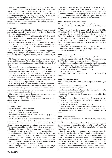2, but you can begin differently depending on which type of model you want you make. If you choose to make a ribbon it will be laterally reversed so that the cross is the right way.

The workshop drawing on fig. 1 is the beginning and the end of a straight margin. Fig 2 is a single report. Fig 3 is the beginning and the end of a point. It is your own choice.

Closing: The ribbon is laced in the length of your choice and mounted on the chasuble afterwards. The ribbon can also be used for a doily and other things.

#### *Useful laces*

I learned the art of making lace as a child. We had an au pair and she had learned to make lace by the former housewife, before she went to our home.

I was only child so I had no siblings to play with. My grandmother had a small lace pillow, which I got and then our au pair taught me the mysteries of lace making.

Afterwards the years past by before I was making lace again, but I could still remember the basics. I went on a course with Doris Boll from Silkeborg and it was Gjern household union that had arranged the course.

It is lovely and challenging to make lace and I appreciate making useful things. I have made a christening hat, decorations for my granddaughters wedding dress and several garters.

My bigger projects are altering cloths for the churches of Gjern and Skannerup. After I had finished those projects I came up with the idea of making a chasuble for the church of Gjern.

I contacted the vestry and the priest and they accepted my idea and I hurriedly went on with making of the chasuble.

Regarding the fabric had I only a loom in 90 cm and I had to increase both the front and the back of the chasuble. Then the idea came with the laces. They could hide the stitches and Doris Boll was very helpful with the patterns for the laces.

The stitches on the back are covered with a ribbon shaped as a Y and the front is a single ribbon with crosses.

It did not stop with the first chasuble. In total I made three chasubles for the church of Gjern. The first chasuble was red and I weaved it. The green and the purple one was weaved by Karen Dam from Bornholm. I broke my thigh bone and had not got the strength to use the loom.

The colour of the laces is chosen after the colours of the chasubles, but is mainly kept in light shades.

The vestry of Gjern-Skannerup is combined now so the chasubles are used in both churches.

Aase Kusk

#### **113 b Idrija Heart**

Idea and design: Roelien Moesker

GW Groningen, The Netherlands

Execution: Janke Nieboer, XN Roden

Materials: You need 6 pairs of Aurifil 28 (on the grey cone), DMC 80 or 60/2 linenthread.

Start: You start with the straight tape in the middle of the heart with 5 pairs in clothst. Vary the twists on the par joining the tapes, as needed, and put a pin in the middle of the line. Connect when you meet them again as your work progresses. The last pair is used for the edgepair, worked in wholest.

Iot. keep the width of the tape, hold on to the 2. pair to the left when it is a left-curve, and to the 2. pair on the right when it is a right-curve, iot. keep the lines according to the pricking. The workers shift during the curve, and the new worker-pair is twisted once before going into it's worker-function. This happens in the curves only, otherwise the lace is worked in linnenst, and wholest. where the lines are marked in the curves on the pricking. Ending: The pairs are tied off.

Idrija-technique: Reading of the pricking for the Idrijatechnique. You work in wholest. if the dots are on the outside

of the line. If there are two lines in the width of the work and there are lines drawn in, you use wholest. If there are wider tapes without lines, you use halfst. If the dots are on the inside of the line, you make a sewing-edge. Pins are only used in the middle of the twisted lines that join the tapes. There are normally no work-sheets and no picture of the finished lace.

#### **113 c Christmas- or Valentine-heart**

Idea, design and execution: Lise Thomsen, USA

Materials: 6 pairs of DMC 80 and 3 pairs of DMC metal thread.

Start: Start at A on the pricking with 3 pairs in red, DMC 80, and then 2 pairs of DMC metal thread, that are worked in chain-stitch. These are the black lines on the work-sheet, and fig.1 tells you how you do it.Thereafter you put on the last 3 pairs of red DMC 80, and the last DMC metal thread, which is the edge-pair worked in wholest. You might choose to edge the outside of the heart with picots. Where the tape meet, it is joined together.

The marked twists are used through the whole lace.

Finish: The lace can be finished with Belgian knots. The work is starched before taken off the pillow.

#### **113d Christmas band**

Idea, design and performance: Benthe Larsen, Roskilde

Materials: 6 pairs with white DMC or K80 - 7 pairs with red DMC or K80 - 1 pair with red metal thread 0,18mm

The beginning: You begin with open pairs. The 6 white pairs must be inmost with the 1 pair of metal thread must be outer together with 1 red pair. The workers are red.

The shown twists are for the whole pattern.

For this bow is used 1 meter.

Closing: You finish the lace in a round and with auxiliary thread.

## **113e Old Christmas heart**

Idea and design: Birthe Lund Johansen Nyamba Tchana, Fjerritslev

Reconstruction: Ulla Dinesen, Strib

Performance: Lis Vester, Erslev

Materials for the hearts: 10 pairs with white flex thread 60/2 - 10 pairs with red flex thread 60/2

Materials for the handle: 5 pairs with red or white flex thread 60/2

The beginning: is shown at the diagram. Make one red part and one white part. The handle is made in cloth stitch. There is no diagram for the handle.

The shown twists are for the whole pattern.

The lace must be starched before taken off the lace pillow.

Mount: Plait the two parts so that the spiders are on the outside on the cloth stitch. The handle is sewed to the Christmas heart.

#### **113 f Christmas-basket**

Idea, design and execution: Else Marie Bjerregaard, Kerteminde

Materials: For the edge of the basket, you use 20 pairs, and for the bottom, 10 pairs of linenthread 60/2 or K.80 or Venus 80/3. and 1 pair of silver-thread along the wholest.-edge on the top of the basket.

Start. because of the joining of the basket, you start along the striped line on the pricking. The bottom is worked separate.

Finish: You stop just in front of the stripes at the bottom of pricking and hock the thread-ends into the starting loops. The threads are braided and led from the straight edge towards the curved edge. Use the 2 last threads for making a braid, 14,5 cm long and attach it so it forms the handle. The rest of the threads are cut off. The bottom of the basket is finished with a braid.

Both parts of the basket is starched before taken off the pillow.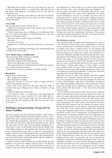Mounting: The bottom is sewn on to the side-piece. You can do this by using a cylinder or a glass in the same diameter as the basket. The sidepiece is stretched over the side and the bottom sewn on.

NB. On the work-sheet, the spiders are alternated in linenst. and halfst. You might decide to use only one of the techniques. I used only halfst.

## **113 g Doily**

Idea, design and execution: Vibeke Ervø

Vibeke Ervø made this doily in the summer-class of Dansk Husflidsselskab in 1983.

Vibeke's inspiration was a bobbinlace on a pillowcase from the 18. century from Østby in Hornsherred. (you can read about it in Husflid 6/1985)

The work-sheet is made by Karen Vontillius.

Materials:

27 pairs of 35/2 linen

Suggestion for starting: Along the striped line on the pricking.

Suggestion for finishing: Attaching to the starting-hoops and sewing off the thread-ends.

#### **113 h Picture-frame or handkerchief**

Idea and design. Britta Jørgensen, Suldrup

Execution: Ruth Bruun, Ølgod

Materials: 25 pairs of 60/2 linenthread.

Start: at the black line on the work-sheet.

The marked twists are valid through the whole lace, remember to twist the linenst.-workers.

Finish: You can use the technique you find suitable.

### **Børnesiden**

Bag for your mobile-phone

Idea, design and execution:

Bent Rasmussen, Aarhus

Materials: 26 pairs of 35/2 and 4 pairs of gimp, and linen cloth for mounting of the lace.

Start: Start at the point and add pairs until the width is reached. You stop working the lace when you think it is long enough.

Finish: Straight with small braids.

Cut 2 pieces of cloth + a sewing edge, a bit larger than the pricking. Sew the 2 pieces together on 3 sides, right sides toward eachother. Turn the piece right side out, mount the lace to the cloth and sew together on the sides. You can add a lock if you like to.

# **Bobbinlace festival in Pärnu, Estonia 2013 by Karen Vontillius**

Estonia is a little larger that Denmark and has 1,3 mill. citizens. The capital,Tallinn (which means the Danish castle) is a wonderful town with a medieval section, which is very interesting. The Danish flag, Dannebrog, "fell down" here in 1219. Tartu has a university. We took a walk in the old part of town, visited the university and the old, restored church. Haapsalu has a long history, it has an old bishops castle from the Middle Age from which a big part is still standing. The church is still in use and is still perfectly intact. This is a big area surrounded by mighty, well preserved walls. Haapsalu has a wonderful railway station, and it contains a railway museum today. Haapsalu has the lace-knitted shawls and handkerchiefs, and the tradition to knit them, is of great importance.

Pärnu (120 km. south of Tallinn) has 44.000 citizens, but this number is 3x greater in summer, because this is "the Riviera of Estonia" with a wide, wide beach, beautiful hotels, lots of summer's fun and activity. We spent our time visiting museums,

and shopping for cloths made out of linen, books, knitting pins and yarn. Also a nice, braided basket got included. I, of course, looked everywhere for bobbinlace, but all lace I saw, was machine-made. On a trip to the countryside, we experienced something we do not see at home any more: Lots of stork-nests with 3-4 storks in each. Storks walking around on the fields looking for food, on one field we counted 12 of them. The landscape looks much like in Denmark, but there is much more forest, and most of the houses are made out of wood, painted in wonderful colors. It is much to see, the country has for ex. lots of nature parks, and there are also many interesting places in the north of the country. Estonia is a country, worth looking into, with their handicrafts and history. The country was under foreign leadership for 750 years. It is self-ruled since 1991 - they have been busy and still are.

#### *The bobbinlace festival:*

I was asked, last fall, if I could teach Tønderlace for a class at a lace festival in Estonia. This was an opportunity I could not say no to. Pärnu hosts a bobbinlace festival every year in July or August. Eeva Talts is "primus motor" for the festival, and this year was the 12th year of the event. It was held the first week in August. Eeva asked me to bring some Tønderlace to their little exhibition. Besides Estonian lacegroups, there were participants from Finland, Latvia, Sweden and Denmark.The festival takes place in an old high school for boys, now functioning as an elementary school. The opening of the festival was very festive, with speeches from Eeva, the mayor and the vice mayor. 2 younger girls sang as a large number of girls gave a fashion show of Lyane Lind's creations.The garments of cloth were decorated with printed lacepatterns. They were very impressive and the girls adorable. A young pair ended the opening of the festival with a little concert.

My class started at 1 pm. I had already made the teaching material, incl. technique, patterns, history etc. and mailed it out to the participants of the class. They brought the print-outs to class. I had brought a slide show of Tønderlace and played the 2 films with Kathrine Thuesen for them during the classes. I had also brought lots of Tønderlace samples, so they could look at them with their hands ;-). The class on the Saturday closed at 6 pm.

It was a brake in the program until 7 pm, and one could buy coffee and homebaked cake in the nice park across from the school. A couple entertained with music and songs, and people were sitting on all the benches and on the edge of the water fountain. On the paths around us, there were models showing evening dresses for adult woman, and together with them walked the little beauties from the opening ceremony in their fine laceprinted dresses. It was indeed a wonderful and pleasant event. Two of my students had brought their handwork to the park. Angelina made cord for decoration on garments, and Maris worked on her Tønderpiece. Ulla Bengtsson from Sweden held a workshop on Sunday, where the students had to mount a rose, already made, after a pattern by Ulla. My class went from 10 am. to 4 pm. I had found a bobbinlace-book in a bookshop in Haapsalu. This was Estonia's first book on bobbinlace, from 2013, a book for beginners, but at the same time a book containing many Estonian patterns from the National Museum of Estonia. Of course, everything in Estonian, but, so what - the photos and the drawings are the most important anyway. The two young ladies that had written the book (Angelina Nöps and Maris Raud) attended my class and had been at the Tønderfestival in June this year. One of them talked English well, the other not, but then, she was an unusual fast lacemaker. A big group of Finnish lacemakers came to see the exhibition, and there were lots of locals visiting the exhibition, and also our classrooms. The festival closed officially at 5 pm. and rewards were given to the participants of the competition, summerskirts adorned with lace. The people from foreign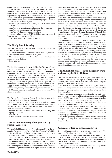countries were given gifts as a thank you for participating in the festival, and then came time to say good bye to all the wonderful lacemakers. It has been a fantastic experience, my students were capable and interested, and I was pleased to experience a big interest for our Tønderlace. The museums of Estonia contains a good amount of bobbinlace, and perhaps more will be added, as the interest of finding original Estonian bobbinlace and patterns, is great.

Interesting places to visit concerning the article and bobbinlace, but they are time consuming

http://www.visitestonia.com/en/haapsalu-shawl-museum

http://www.thorstrom.com/tag/pitsiviikko/

http://www.flickr.com/groups/bobbinlace/

http://www.lacenews.net/2013/08/02/lace-event-estonia-iihaapsalu-lace-day-august-25-2013/

http://www.niplispits.edicypages.com/en

## **The Yearly Bobbinlace-day**

Also this year we held the Yearly Bobbinlace-day on the Butikstorv in Hadsund.

As usual, many of the local bobbinlacers attended, both with finished products and with work in progress.

Many curious people came by, and there was lots of complements and nice chatting.

Kniplepigerne

The bobbinlace-day of the year in Slagelse. We started early Saturday morning with helping husbands, to move tables and chairs iot. transform a big, light room to a cozy bobbinlaceexhibition. We succeeded again, again, in putting a nice and many-sided exhibition on it's feet. We opened the exhibition at 10 am. sharp, waiting for the visitors, that came by in a steady stream all day. It was possible to enjoy a cup of coffee, while looking at books and magazines, that we had put out, and many took advantage of that. We had a nice exhibition with happy visitors, looking and chatting about bobbinlace, and many already looking forward to next year's exhibition.

Bobbinlace-greetings from Kniplepigerne in the H.E.P: The House in Stenløse

The Yearly Bobbinlace-day, August 31. 2013, was held in the Centre of Taulhøy in Taulov, Fredericia

We are two wonderful groups of adults and one youthgroup, and we all had a wonderful bobbinlace-day with many visitors. Two adults also showed interest in starting, and there were many interested children.

We look forward to see and read about it in our magazine, Knipling i Danmark.

Best wishes

Astrid Petersen Skærbæk/Taulov Fredericia

# **Tour de Bobbinlace-day of the year 2013 by Susanne Andersen**

The yearly bobbinlace-day is a fantastic event. I have the last couple of years spent the day in Knipling i Danmark's facilities in Nørrevoldgade in Nyborg, but this year it was my turn to travel and look around iot. get inspired by others.

"Madam Grå" was started Saturday morning, headed for Ringe Library, where Lilly Larsen again had activated the local bobbinlacers and made an exhibition. This had been on in the library from August 12. There were a big variety of lacework on the pillows - I realized that the theme from Knipling i Danmark, "Light in the dark" was represented on several pillows. There were also the cutest Santa-heads. There were many interested people, and the talk was lively - we, for ex. had to take our detective-cap on, because, how many years had they held the yearly Bobbinlace-day in Ringe? and, if we counted properly, the library had hosted it for 6 years.

We then went on to the Langeskov-centre, where also a very pretty exhibition was on display. The fact that bobbinlace can have so much variety as shown here, helps us preserve our beautiful handcraft. You surely know the feeling, "I also have to do this"- I have said that many a time, and I also did this time. On display was the prettiest tablecloth with the flower, King Salomon's Seal, and I have to put on my detective-cap again, because who on earth made that pattern? Nobody had the answer there and then. It was pure joy to see two young ladies make bobbinlace - and of course, each wearing a bobbinlace-hat.

A shopping mall on Saturday morning is not the worst place to be, and how Ketty H. Busk has done it, I don't know, but when the storekeeper himself serves coffee and buttercake, things seems ok, and spread lots of good chatting. The time again, passed too fast, and it was time for Madam Grå to head off to the last stop, Nørrevoldgade in Nyborg, where Lone Nielsen and Yvonne Nielsen enjoyed a cup of coffee together. And where good folks are, good folks come - it did not take long before the talk went lively. I can not imagine a nicer way to start the bobbinlace-season than this - and there are so many good lacemakers around. I had opportunity to meet some of you, and really look forward to see the rest of you on the different fairs in the year to come.

# **The Annual Bobbinlace-day in Langeskov was a real nice day, by Ketty H. Busk**

This was the first time that we arranged it in Langeskov, but it will not be the last. The square in Langeskov Centeret is covered, so whatever kind of weather outside, it will always be possible to have a fine day there.

We were 8 people from 12 to 84 years of age, who demonstrated the many forms and uses of bobbinlace. Each of us had brought something we had made, so we had a big variety of lace on display.

There were many costumers and visitors in the centre that day, and many expressed a big excitement over what could be done in bobbinlace. It was fun that many men came by, telling that this had also their mothers or grandmothers done, but "they had only made edges, insertions and such". They were impressed about the magnitude of bobbinlace.

All in all, it was a wonderful day, where we could tell about our hobby, many asked how we could find around in all the bobbins, how we were able to understand the patterns aso. We answered and explained to the best of our ability, so I hope, everybody got something out of it.

We had a good day, and have decided, that we will reserve the square at Langeskov Centeret again for next year, asa. we know the date.

## **Gravenmoer-lace by Susanne Andersen**

Knipling i Danmark gives a class in Gravenmoer-lace on February 14.- 2014, but what kind of lace is this?

The small town Gravenmoer is situated in the southern part of Holland, north-east of the town, Breda. It is a little harbourtown where the men fished and the woman made bobbinlace. This is the lace called Gravenmoer and is used mostly for clothing, especially bonnets.

This type of bobbinlace is very old, how old nobody knows, but some think it goes back to the 16. century.